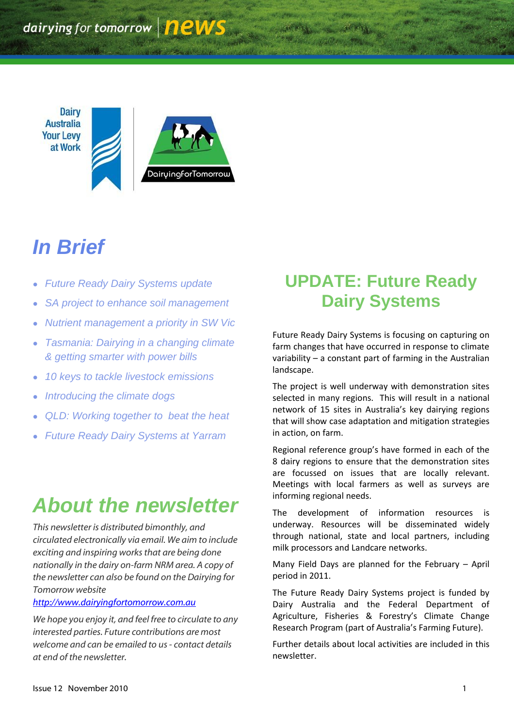**Dairy Australia Your Levy** at Work



# *In Brief*

- *Future Ready Dairy Systems update*
- *SA project to enhance soil management*
- *Nutrient management a priority in SW Vic*
- *Tasmania: Dairying in a changing climate & getting smarter with power bills*
- *10 keys to tackle livestock emissions*
- *Introducing the climate dogs*
- *QLD: Working together to beat the heat*
- *Future Ready Dairy Systems at Yarram*

# *About the newsletter*

*This newsletter is distributed bimonthly, and circulated electronically via email. We aim to include exciting and inspiring works that are being done nationally in the dairy on-farm NRM area. A copy of the newsletter can also be found on the Dairying for Tomorrow website* 

#### *[http://www.dairyingfortomorrow.com.au](http://www.dairyingfortomorrow.com.au/)*

*We hope you enjoy it, and feel free to circulate to any interested parties. Future contributions are most welcome and can be emailed to us- contact details at end of the newsletter.*

# **UPDATE: Future Ready Dairy Systems**

Future Ready Dairy Systems is focusing on capturing on farm changes that have occurred in response to climate variability – a constant part of farming in the Australian landscape.

The project is well underway with demonstration sites selected in many regions. This will result in a national network of 15 sites in Australia's key dairying regions that will show case adaptation and mitigation strategies in action, on farm.

Regional reference group's have formed in each of the 8 dairy regions to ensure that the demonstration sites are focussed on issues that are locally relevant. Meetings with local farmers as well as surveys are informing regional needs.

The development of information resources is underway. Resources will be disseminated widely through national, state and local partners, including milk processors and Landcare networks.

Many Field Days are planned for the February – April period in 2011.

The Future Ready Dairy Systems project is funded by Dairy Australia and the Federal Department of Agriculture, Fisheries & Forestry's Climate Change Research Program (part of Australia's Farming Future).

Further details about local activities are included in this newsletter.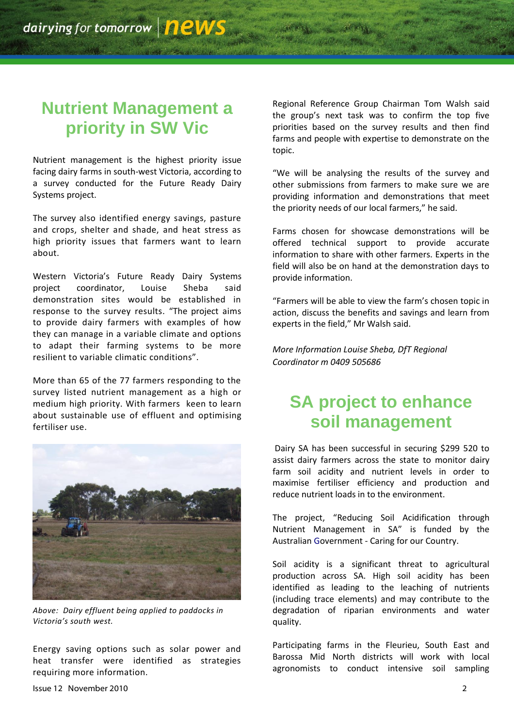### **Nutrient Management a priority in SW Vic**

Nutrient management is the highest priority issue facing dairy farms in south-west Victoria, according to a survey conducted for the Future Ready Dairy Systems project.

The survey also identified energy savings, pasture and crops, shelter and shade, and heat stress as high priority issues that farmers want to learn about.

Western Victoria's Future Ready Dairy Systems project coordinator, Louise Sheba said demonstration sites would be established in response to the survey results. "The project aims to provide dairy farmers with examples of how they can manage in a variable climate and options to adapt their farming systems to be more resilient to variable climatic conditions".

More than 65 of the 77 farmers responding to the survey listed nutrient management as a high or medium high priority. With farmers keen to learn about sustainable use of effluent and optimising fertiliser use.



*Above: Dairy effluent being applied to paddocks in Victoria's south west.*

Energy saving options such as solar power and heat transfer were identified as strategies requiring more information.

Regional Reference Group Chairman Tom Walsh said the group's next task was to confirm the top five priorities based on the survey results and then find farms and people with expertise to demonstrate on the topic.

"We will be analysing the results of the survey and other submissions from farmers to make sure we are providing information and demonstrations that meet the priority needs of our local farmers," he said.

Farms chosen for showcase demonstrations will be offered technical support to provide accurate information to share with other farmers. Experts in the field will also be on hand at the demonstration days to provide information.

"Farmers will be able to view the farm's chosen topic in action, discuss the benefits and savings and learn from experts in the field," Mr Walsh said.

*More Information Louise Sheba, DfT Regional Coordinator m 0409 505686*

### **SA project to enhance soil management**

Dairy SA has been successful in securing \$299 520 to assist dairy farmers across the state to monitor dairy farm soil acidity and nutrient levels in order to maximise fertiliser efficiency and production and reduce nutrient loads in to the environment.

The project, "Reducing Soil Acidification through Nutrient Management in SA" is funded by the Australian Government - Caring for our Country.

Soil acidity is a significant threat to agricultural production across SA. High soil acidity has been identified as leading to the leaching of nutrients (including trace elements) and may contribute to the degradation of riparian environments and water quality.

Participating farms in the Fleurieu, South East and Barossa Mid North districts will work with local agronomists to conduct intensive soil sampling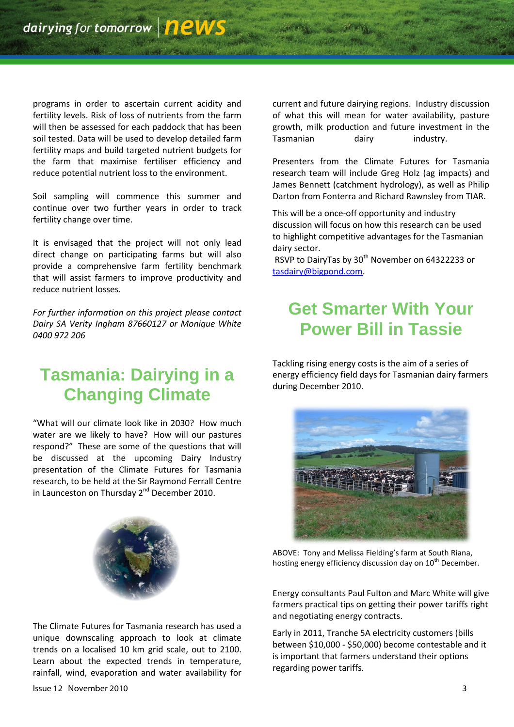programs in order to ascertain current acidity and fertility levels. Risk of loss of nutrients from the farm will then be assessed for each paddock that has been soil tested. Data will be used to develop detailed farm fertility maps and build targeted nutrient budgets for the farm that maximise fertiliser efficiency and reduce potential nutrient loss to the environment.

Soil sampling will commence this summer and continue over two further years in order to track fertility change over time.

It is envisaged that the project will not only lead direct change on participating farms but will also provide a comprehensive farm fertility benchmark that will assist farmers to improve productivity and reduce nutrient losses.

*For further information on this project please contact Dairy SA Verity Ingham 87660127 or Monique White 0400 972 206*

### **Tasmania: Dairying in a Changing Climate**

"What will our climate look like in 2030? How much water are we likely to have? How will our pastures respond?" These are some of the questions that will be discussed at the upcoming Dairy Industry presentation of the Climate Futures for Tasmania research, to be held at the Sir Raymond Ferrall Centre in Launceston on Thursday 2<sup>nd</sup> December 2010.



The Climate Futures for Tasmania research has used a unique downscaling approach to look at climate trends on a localised 10 km grid scale, out to 2100. Learn about the expected trends in temperature, rainfall, wind, evaporation and water availability for current and future dairying regions. Industry discussion of what this will mean for water availability, pasture growth, milk production and future investment in the Tasmanian dairy industry.

Presenters from the Climate Futures for Tasmania research team will include Greg Holz (ag impacts) and James Bennett (catchment hydrology), as well as Philip Darton from Fonterra and Richard Rawnsley from TIAR.

This will be a once-off opportunity and industry discussion will focus on how this research can be used to highlight competitive advantages for the Tasmanian dairy sector.

RSVP to DairyTas by 30<sup>th</sup> November on 64322233 or [tasdairy@bigpond.com.](mailto:tasdairy@bigpond.com)

### **Get Smarter With Your Power Bill in Tassie**

Tackling rising energy costs is the aim of a series of energy efficiency field days for Tasmanian dairy farmers during December 2010.



ABOVE: Tony and Melissa Fielding's farm at South Riana, hosting energy efficiency discussion day on  $10^{th}$  December.

Energy consultants Paul Fulton and Marc White will give farmers practical tips on getting their power tariffs right and negotiating energy contracts.

Early in 2011, Tranche 5A electricity customers (bills between \$10,000 - \$50,000) become contestable and it is important that farmers understand their options regarding power tariffs.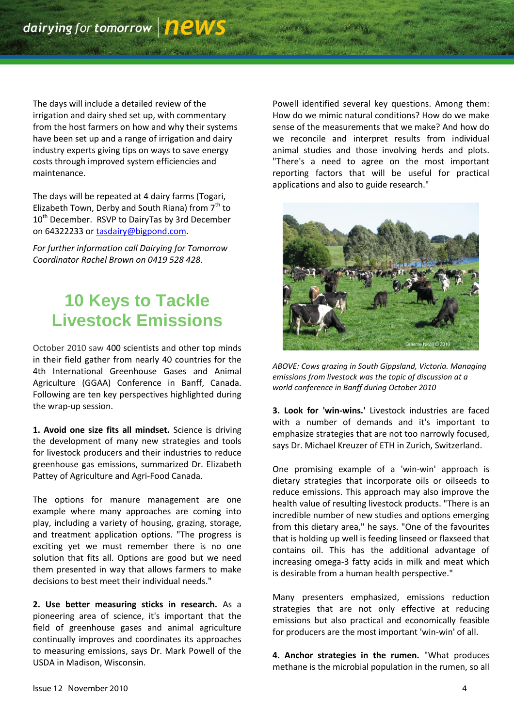The days will include a detailed review of the irrigation and dairy shed set up, with commentary from the host farmers on how and why their systems have been set up and a range of irrigation and dairy industry experts giving tips on ways to save energy costs through improved system efficiencies and maintenance.

The days will be repeated at 4 dairy farms (Togari, Elizabeth Town, Derby and South Riana) from  $7<sup>th</sup>$  to 10<sup>th</sup> December. RSVP to DairyTas by 3rd December on 64322233 or [tasdairy@bigpond.com.](mailto:tasdairy@bigpond.com)

*For further information call Dairying for Tomorrow Coordinator Rachel Brown on 0419 528 428*.

# **10 Keys to Tackle Livestock Emissions**

October 2010 saw 400 scientists and other top minds in their field gather from nearly 40 countries for the 4th International Greenhouse Gases and Animal Agriculture (GGAA) Conference in Banff, Canada. Following are ten key perspectives highlighted during the wrap-up session.

**1. Avoid one size fits all mindset.** Science is driving the development of many new strategies and tools for livestock producers and their industries to reduce greenhouse gas emissions, summarized Dr. Elizabeth Pattey of Agriculture and Agri-Food Canada.

The options for manure management are one example where many approaches are coming into play, including a variety of housing, grazing, storage, and treatment application options. "The progress is exciting yet we must remember there is no one solution that fits all. Options are good but we need them presented in way that allows farmers to make decisions to best meet their individual needs."

**2. Use better measuring sticks in research.** As a pioneering area of science, it's important that the field of greenhouse gases and animal agriculture continually improves and coordinates its approaches to measuring emissions, says Dr. Mark Powell of the USDA in Madison, Wisconsin.

Powell identified several key questions. Among them: How do we mimic natural conditions? How do we make sense of the measurements that we make? And how do we reconcile and interpret results from individual animal studies and those involving herds and plots. "There's a need to agree on the most important reporting factors that will be useful for practical applications and also to guide research."



*ABOVE: Cows grazing in South Gippsland, Victoria. Managing emissions from livestock was the topic of discussion at a world conference in Banff during October 2010*

**3. Look for 'win-wins.'** Livestock industries are faced with a number of demands and it's important to emphasize strategies that are not too narrowly focused, says Dr. Michael Kreuzer of ETH in Zurich, Switzerland.

One promising example of a 'win-win' approach is dietary strategies that incorporate oils or oilseeds to reduce emissions. This approach may also improve the health value of resulting livestock products. "There is an incredible number of new studies and options emerging from this dietary area," he says. "One of the favourites that is holding up well is feeding linseed or flaxseed that contains oil. This has the additional advantage of increasing omega-3 fatty acids in milk and meat which is desirable from a human health perspective."

Many presenters emphasized, emissions reduction strategies that are not only effective at reducing emissions but also practical and economically feasible for producers are the most important 'win-win' of all.

**4. Anchor strategies in the rumen.** "What produces methane is the microbial population in the rumen, so all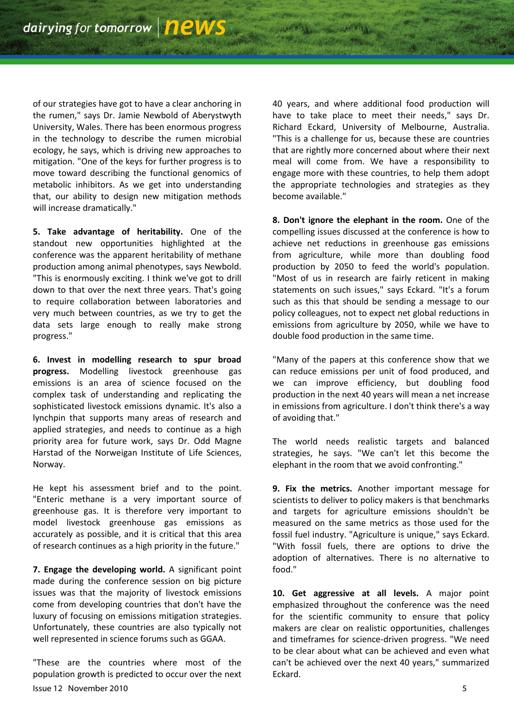of our strategies have got to have a clear anchoring in the rumen," says Dr. Jamie Newbold of Aberystwyth University, Wales. There has been enormous progress in the technology to describe the rumen microbial ecology, he says, which is driving new approaches to mitigation. "One of the keys for further progress is to move toward describing the functional genomics of metabolic inhibitors. As we get into understanding that, our ability to design new mitigation methods will increase dramatically."

**5. Take advantage of heritability.** One of the standout new opportunities highlighted at the conference was the apparent heritability of methane production among animal phenotypes, says Newbold. "This is enormously exciting. I think we've got to drill down to that over the next three years. That's going to require collaboration between laboratories and very much between countries, as we try to get the data sets large enough to really make strong progress."

**6. Invest in modelling research to spur broad progress.** Modelling livestock greenhouse gas emissions is an area of science focused on the complex task of understanding and replicating the sophisticated livestock emissions dynamic. It's also a lynchpin that supports many areas of research and applied strategies, and needs to continue as a high priority area for future work, says Dr. Odd Magne Harstad of the Norweigan Institute of Life Sciences, Norway.

He kept his assessment brief and to the point. "Enteric methane is a very important source of greenhouse gas. It is therefore very important to model livestock greenhouse gas emissions as accurately as possible, and it is critical that this area of research continues as a high priority in the future."

**7. Engage the developing world.** A significant point made during the conference session on big picture issues was that the majority of livestock emissions come from developing countries that don't have the luxury of focusing on emissions mitigation strategies. Unfortunately, these countries are also typically not well represented in science forums such as GGAA.

Issue 12 November 2010 5 "These are the countries where most of the population growth is predicted to occur over the next

40 years, and where additional food production will have to take place to meet their needs," says Dr. Richard Eckard, University of Melbourne, Australia. "This is a challenge for us, because these are countries that are rightly more concerned about where their next meal will come from. We have a responsibility to engage more with these countries, to help them adopt the appropriate technologies and strategies as they become available."

**8. Don't ignore the elephant in the room.** One of the compelling issues discussed at the conference is how to achieve net reductions in greenhouse gas emissions from agriculture, while more than doubling food production by 2050 to feed the world's population. "Most of us in research are fairly reticent in making statements on such issues," says Eckard. "It's a forum such as this that should be sending a message to our policy colleagues, not to expect net global reductions in emissions from agriculture by 2050, while we have to double food production in the same time.

"Many of the papers at this conference show that we can reduce emissions per unit of food produced, and we can improve efficiency, but doubling food production in the next 40 years will mean a net increase in emissions from agriculture. I don't think there's a way of avoiding that."

The world needs realistic targets and balanced strategies, he says. "We can't let this become the elephant in the room that we avoid confronting."

**9. Fix the metrics.** Another important message for scientists to deliver to policy makers is that benchmarks and targets for agriculture emissions shouldn't be measured on the same metrics as those used for the fossil fuel industry. "Agriculture is unique," says Eckard. "With fossil fuels, there are options to drive the adoption of alternatives. There is no alternative to food."

**10. Get aggressive at all levels.** A major point emphasized throughout the conference was the need for the scientific community to ensure that policy makers are clear on realistic opportunities, challenges and timeframes for science-driven progress. "We need to be clear about what can be achieved and even what can't be achieved over the next 40 years," summarized Eckard.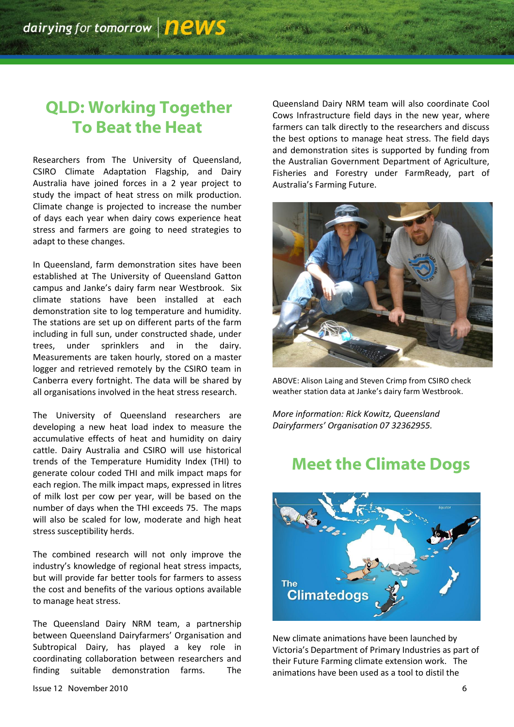#### **QLD: Working Together To Beat the Heat**

Researchers from The University of Queensland, CSIRO Climate Adaptation Flagship, and Dairy Australia have joined forces in a 2 year project to study the impact of heat stress on milk production. Climate change is projected to increase the number of days each year when dairy cows experience heat stress and farmers are going to need strategies to adapt to these changes.

In Queensland, farm demonstration sites have been established at The University of Queensland Gatton campus and Janke's dairy farm near Westbrook. Six climate stations have been installed at each demonstration site to log temperature and humidity. The stations are set up on different parts of the farm including in full sun, under constructed shade, under trees, under sprinklers and in the dairy. Measurements are taken hourly, stored on a master logger and retrieved remotely by the CSIRO team in Canberra every fortnight. The data will be shared by all organisations involved in the heat stress research.

The University of Queensland researchers are developing a new heat load index to measure the accumulative effects of heat and humidity on dairy cattle. Dairy Australia and CSIRO will use historical trends of the Temperature Humidity Index (THI) to generate colour coded THI and milk impact maps for each region. The milk impact maps, expressed in litres of milk lost per cow per year, will be based on the number of days when the THI exceeds 75. The maps will also be scaled for low, moderate and high heat stress susceptibility herds.

The combined research will not only improve the industry's knowledge of regional heat stress impacts, but will provide far better tools for farmers to assess the cost and benefits of the various options available to manage heat stress.

The Queensland Dairy NRM team, a partnership between Queensland Dairyfarmers' Organisation and Subtropical Dairy, has played a key role in coordinating collaboration between researchers and finding suitable demonstration farms. The

Queensland Dairy NRM team will also coordinate Cool Cows Infrastructure field days in the new year, where farmers can talk directly to the researchers and discuss the best options to manage heat stress. The field days and demonstration sites is supported by funding from the Australian Government Department of Agriculture, Fisheries and Forestry under FarmReady, part of Australia's Farming Future.



ABOVE: Alison Laing and Steven Crimp from CSIRO check weather station data at Janke's dairy farm Westbrook.

*More information: Rick Kowitz, Queensland Dairyfarmers' Organisation 07 32362955.*

#### **Meet the Climate Dogs**



New climate animations have been launched by Victoria's Department of Primary Industries as part of their Future Farming climate extension work. The animations have been used as a tool to distil the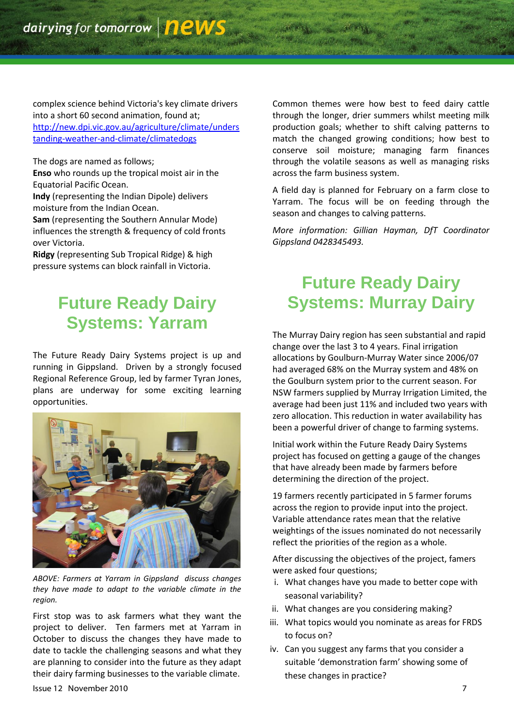complex science behind Victoria's key climate drivers into a short 60 second animation, found at; [http://new.dpi.vic.gov.au/agriculture/climate/unders](http://new.dpi.vic.gov.au/agriculture/climate/understanding-weather-and-climate/climatedogs) [tanding-weather-and-climate/climatedogs](http://new.dpi.vic.gov.au/agriculture/climate/understanding-weather-and-climate/climatedogs)

The dogs are named as follows; **Enso** who rounds up the tropical moist air in the Equatorial Pacific Ocean.

**Indy** (representing the Indian Dipole) delivers moisture from the Indian Ocean.

**Sam** (representing the Southern Annular Mode) influences the strength & frequency of cold fronts over Victoria.

**Ridgy** (representing Sub Tropical Ridge) & high pressure systems can block rainfall in Victoria.

# **Future Ready Dairy Systems: Yarram**

The Future Ready Dairy Systems project is up and running in Gippsland. Driven by a strongly focused Regional Reference Group, led by farmer Tyran Jones, plans are underway for some exciting learning opportunities.



*ABOVE: Farmers at Yarram in Gippsland discuss changes they have made to adapt to the variable climate in the region.*

First stop was to ask farmers what they want the project to deliver. Ten farmers met at Yarram in October to discuss the changes they have made to date to tackle the challenging seasons and what they are planning to consider into the future as they adapt their dairy farming businesses to the variable climate.

Common themes were how best to feed dairy cattle through the longer, drier summers whilst meeting milk production goals; whether to shift calving patterns to match the changed growing conditions; how best to conserve soil moisture; managing farm finances through the volatile seasons as well as managing risks across the farm business system.

A field day is planned for February on a farm close to Yarram. The focus will be on feeding through the season and changes to calving patterns.

*More information: Gillian Hayman, DfT Coordinator Gippsland 0428345493.*

# **Future Ready Dairy Systems: Murray Dairy**

The Murray Dairy region has seen substantial and rapid change over the last 3 to 4 years. Final irrigation allocations by Goulburn-Murray Water since 2006/07 had averaged 68% on the Murray system and 48% on the Goulburn system prior to the current season. For NSW farmers supplied by Murray Irrigation Limited, the average had been just 11% and included two years with zero allocation. This reduction in water availability has been a powerful driver of change to farming systems.

Initial work within the Future Ready Dairy Systems project has focused on getting a gauge of the changes that have already been made by farmers before determining the direction of the project.

19 farmers recently participated in 5 farmer forums across the region to provide input into the project. Variable attendance rates mean that the relative weightings of the issues nominated do not necessarily reflect the priorities of the region as a whole.

After discussing the objectives of the project, famers were asked four questions;

- i. What changes have you made to better cope with seasonal variability?
- ii. What changes are you considering making?
- iii. What topics would you nominate as areas for FRDS to focus on?
- iv. Can you suggest any farms that you consider a suitable 'demonstration farm' showing some of these changes in practice?